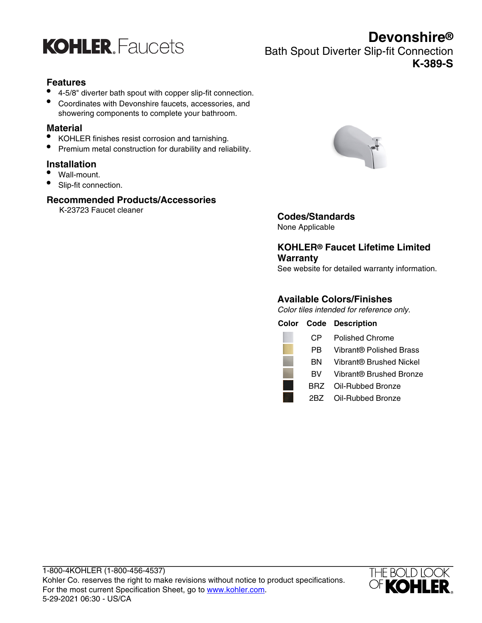

## **Devonshire®** Bath Spout Diverter Slip-fit Connection **K-389-S**

#### **Features**

- 4-5/8" diverter bath spout with copper slip-fit connection.
- Coordinates with Devonshire faucets, accessories, and showering components to complete your bathroom.

#### **Material**

- KOHLER finishes resist corrosion and tarnishing.
- Premium metal construction for durability and reliability.

#### **Installation**

- Wall-mount.
- Slip-fit connection.

#### **Recommended Products/Accessories**

K-23723 Faucet cleaner



## **Codes/Standards**

None Applicable

### **KOHLER® Faucet Lifetime Limited Warranty**

See website for detailed warranty information.

#### **Available Colors/Finishes**

Color tiles intended for reference only.

|     | <b>Color Code Description</b> |
|-----|-------------------------------|
| CP. | <b>Polished Chrome</b>        |
| PB. | Vibrant® Polished Brass       |
| ΒN  | Vibrant® Brushed Nickel       |
| BV. | Vibrant® Brushed Bronze       |
|     | BRZ Oil-Rubbed Bronze         |
|     | 2BZ Oil-Rubbed Bronze         |